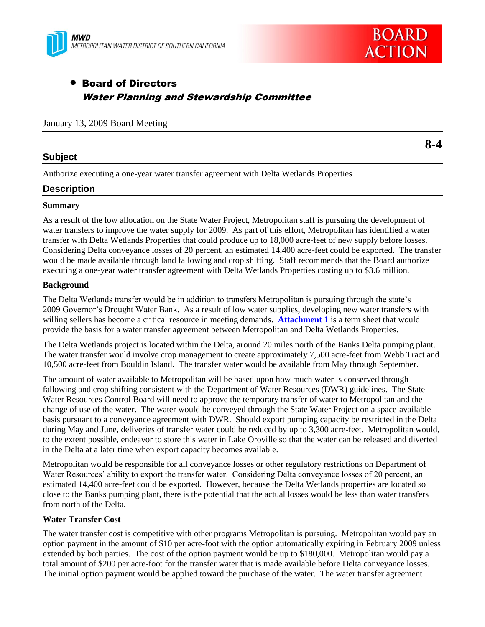



**8-4**

# Board of Directors Water Planning and Stewardship Committee

January 13, 2009 Board Meeting

## **Subject**

Authorize executing a one-year water transfer agreement with Delta Wetlands Properties

## **Description**

#### **Summary**

As a result of the low allocation on the State Water Project, Metropolitan staff is pursuing the development of water transfers to improve the water supply for 2009. As part of this effort, Metropolitan has identified a water transfer with Delta Wetlands Properties that could produce up to 18,000 acre-feet of new supply before losses. Considering Delta conveyance losses of 20 percent, an estimated 14,400 acre-feet could be exported. The transfer would be made available through land fallowing and crop shifting. Staff recommends that the Board authorize executing a one-year water transfer agreement with Delta Wetlands Properties costing up to \$3.6 million.

### **Background**

The Delta Wetlands transfer would be in addition to transfers Metropolitan is pursuing through the state's 2009 Governor's Drought Water Bank. As a result of low water supplies, developing new water transfers with willing sellers has become a critical resource in meeting demands. **Attachment 1** is a term sheet that would provide the basis for a water transfer agreement between Metropolitan and Delta Wetlands Properties.

The Delta Wetlands project is located within the Delta, around 20 miles north of the Banks Delta pumping plant. The water transfer would involve crop management to create approximately 7,500 acre-feet from Webb Tract and 10,500 acre-feet from Bouldin Island. The transfer water would be available from May through September.

The amount of water available to Metropolitan will be based upon how much water is conserved through fallowing and crop shifting consistent with the Department of Water Resources (DWR) guidelines. The State Water Resources Control Board will need to approve the temporary transfer of water to Metropolitan and the change of use of the water. The water would be conveyed through the State Water Project on a space-available basis pursuant to a conveyance agreement with DWR. Should export pumping capacity be restricted in the Delta during May and June, deliveries of transfer water could be reduced by up to 3,300 acre-feet. Metropolitan would, to the extent possible, endeavor to store this water in Lake Oroville so that the water can be released and diverted in the Delta at a later time when export capacity becomes available.

Metropolitan would be responsible for all conveyance losses or other regulatory restrictions on Department of Water Resources' ability to export the transfer water. Considering Delta conveyance losses of 20 percent, an estimated 14,400 acre-feet could be exported. However, because the Delta Wetlands properties are located so close to the Banks pumping plant, there is the potential that the actual losses would be less than water transfers from north of the Delta.

### **Water Transfer Cost**

The water transfer cost is competitive with other programs Metropolitan is pursuing. Metropolitan would pay an option payment in the amount of \$10 per acre-foot with the option automatically expiring in February 2009 unless extended by both parties. The cost of the option payment would be up to \$180,000. Metropolitan would pay a total amount of \$200 per acre-foot for the transfer water that is made available before Delta conveyance losses. The initial option payment would be applied toward the purchase of the water. The water transfer agreement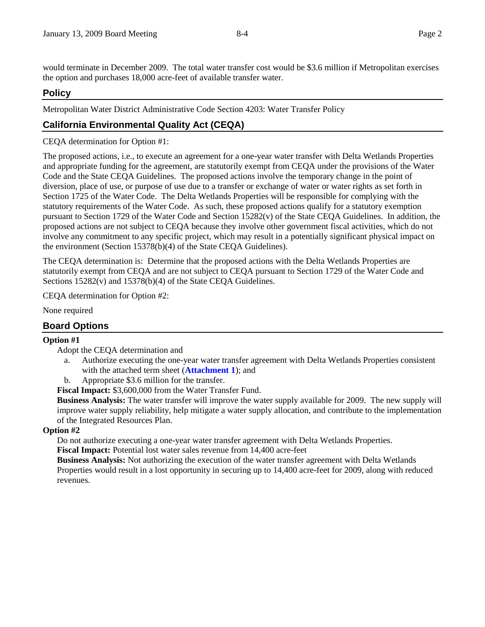would terminate in December 2009. The total water transfer cost would be \$3.6 million if Metropolitan exercises the option and purchases 18,000 acre-feet of available transfer water.

## **Policy**

Metropolitan Water District Administrative Code Section 4203: Water Transfer Policy

# **California Environmental Quality Act (CEQA)**

CEQA determination for Option #1:

The proposed actions, i.e., to execute an agreement for a one-year water transfer with Delta Wetlands Properties and appropriate funding for the agreement, are statutorily exempt from CEQA under the provisions of the Water Code and the State CEQA Guidelines. The proposed actions involve the temporary change in the point of diversion, place of use, or purpose of use due to a transfer or exchange of water or water rights as set forth in Section 1725 of the Water Code. The Delta Wetlands Properties will be responsible for complying with the statutory requirements of the Water Code. As such, these proposed actions qualify for a statutory exemption pursuant to Section 1729 of the Water Code and Section 15282(v) of the State CEQA Guidelines. In addition, the proposed actions are not subject to CEQA because they involve other government fiscal activities, which do not involve any commitment to any specific project, which may result in a potentially significant physical impact on the environment (Section 15378(b)(4) of the State CEQA Guidelines).

The CEQA determination is: Determine that the proposed actions with the Delta Wetlands Properties are statutorily exempt from CEQA and are not subject to CEQA pursuant to Section 1729 of the Water Code and Sections 15282(v) and 15378(b)(4) of the State CEQA Guidelines.

CEQA determination for Option #2:

None required

## **Board Options**

## **Option #1**

Adopt the CEQA determination and

- a. Authorize executing the one-year water transfer agreement with Delta Wetlands Properties consistent with the attached term sheet (**Attachment 1**); and
- b. Appropriate \$3.6 million for the transfer.

**Fiscal Impact:** \$3,600,000 from the Water Transfer Fund.

**Business Analysis:** The water transfer will improve the water supply available for 2009. The new supply will improve water supply reliability, help mitigate a water supply allocation, and contribute to the implementation of the Integrated Resources Plan.

#### **Option #2**

Do not authorize executing a one-year water transfer agreement with Delta Wetlands Properties.

**Fiscal Impact:** Potential lost water sales revenue from 14,400 acre-feet

**Business Analysis:** Not authorizing the execution of the water transfer agreement with Delta Wetlands Properties would result in a lost opportunity in securing up to 14,400 acre-feet for 2009, along with reduced revenues.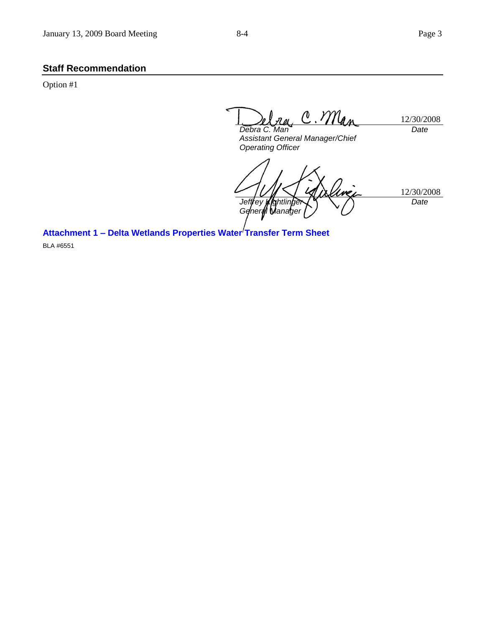# **Staff Recommendation**

Option #1

 $\ell N$ Ya a 12/30/2008 *Debra C. Man Date*

*Assistant General Manager/Chief Operating Officer*

12/30/2008 *Jeffrey Kightlinger General Manager Date*

**Attachment 1 - Delta Wetlands Properties Water Transfer Term Sheet** 

BLA #6551